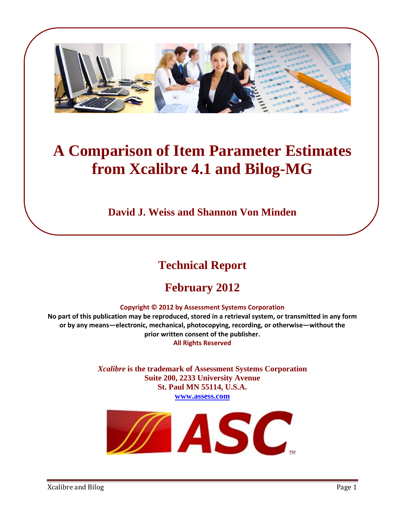

# **A Comparison of Item Parameter Estimates from Xcalibre 4.1 and Bilog-MG**

**David J. Weiss and Shannon Von Minden** 

## **Technical Report**

## **February 2012**

#### **Copyright © 2012 by Assessment Systems Corporation**

No part of this publication may be reproduced, stored in a retrieval system, or transmitted in any form **or by any means—electronic, mechanical, photocopying, recording, or otherwise—without the prior written consent of the publisher. All Rights Reserved** 

> *Xcalibre* **is the trademark of Assessment Systems Corporation Suite 200, 2233 University Avenue St. Paul MN 55114, U.S.A. www.assess.com**

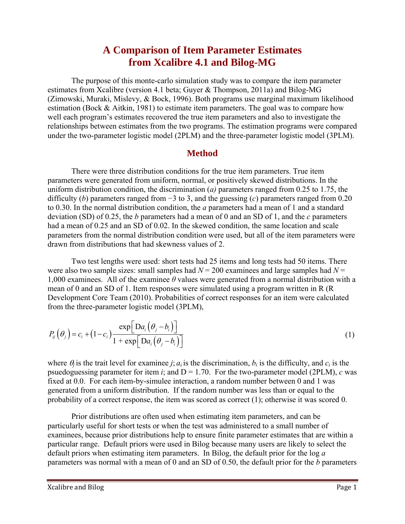## **A Comparison of Item Parameter Estimates from Xcalibre 4.1 and Bilog-MG**

 The purpose of this monte-carlo simulation study was to compare the item parameter estimates from Xcalibre (version 4.1 beta; Guyer & Thompson, 2011a) and Bilog-MG (Zimowski, Muraki, Mislevy, & Bock, 1996). Both programs use marginal maximum likelihood estimation (Bock & Aitkin, 1981) to estimate item parameters. The goal was to compare how well each program's estimates recovered the true item parameters and also to investigate the relationships between estimates from the two programs. The estimation programs were compared under the two-parameter logistic model (2PLM) and the three-parameter logistic model (3PLM).

#### **Method**

 There were three distribution conditions for the true item parameters. True item parameters were generated from uniform, normal, or positively skewed distributions. In the uniform distribution condition, the discrimination (*a)* parameters ranged from 0.25 to 1.75, the difficulty (*b*) parameters ranged from −3 to 3, and the guessing (*c*) parameters ranged from 0.20 to 0.30. In the normal distribution condition, the *a* parameters had a mean of 1 and a standard deviation (SD) of 0.25, the *b* parameters had a mean of 0 and an SD of 1, and the *c* parameters had a mean of 0.25 and an SD of 0.02. In the skewed condition, the same location and scale parameters from the normal distribution condition were used, but all of the item parameters were drawn from distributions that had skewness values of 2.

 Two test lengths were used: short tests had 25 items and long tests had 50 items. There were also two sample sizes: small samples had  $N = 200$  examinees and large samples had  $N =$ 1,000 examinees. All of the examinee *θ* values were generated from a normal distribution with a mean of 0 and an SD of 1. Item responses were simulated using a program written in R (R Development Core Team (2010). Probabilities of correct responses for an item were calculated from the three-parameter logistic model (3PLM),

$$
P_{ij}(\theta_j) = c_i + (1 - c_i) \frac{\exp[\text{Da}_i(\theta_j - b_i)]}{1 + \exp[\text{Da}_i(\theta_j - b_i)]}
$$
\n(1)

where  $\theta_i$  is the trait level for examinee *j*;  $a_i$  is the discrimination,  $b_i$  is the difficulty, and  $c_i$  is the psuedoguessing parameter for item *i*; and  $D = 1.70$ . For the two-parameter model (2PLM), *c* was fixed at 0.0. For each item-by-simulee interaction, a random number between 0 and 1 was generated from a uniform distribution. If the random number was less than or equal to the probability of a correct response, the item was scored as correct (1); otherwise it was scored 0.

 Prior distributions are often used when estimating item parameters, and can be particularly useful for short tests or when the test was administered to a small number of examinees, because prior distributions help to ensure finite parameter estimates that are within a particular range. Default priors were used in Bilog because many users are likely to select the default priors when estimating item parameters. In Bilog, the default prior for the log *a*  parameters was normal with a mean of 0 and an SD of 0.50, the default prior for the *b* parameters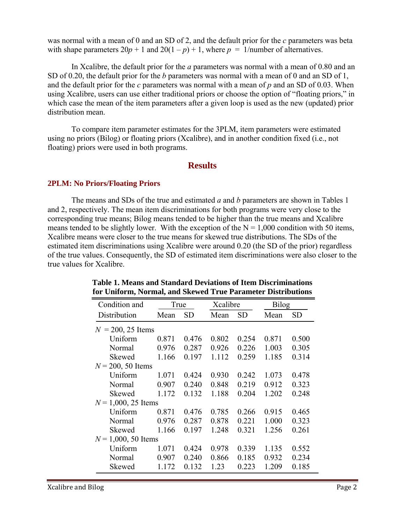was normal with a mean of 0 and an SD of 2, and the default prior for the *c* parameters was beta with shape parameters  $20p + 1$  and  $20(1 - p) + 1$ , where  $p = 1$ /number of alternatives.

In Xcalibre, the default prior for the *a* parameters was normal with a mean of 0.80 and an SD of 0.20, the default prior for the *b* parameters was normal with a mean of 0 and an SD of 1, and the default prior for the *c* parameters was normal with a mean of *p* and an SD of 0.03. When using Xcalibre, users can use either traditional priors or choose the option of "floating priors," in which case the mean of the item parameters after a given loop is used as the new (updated) prior distribution mean.

To compare item parameter estimates for the 3PLM, item parameters were estimated using no priors (Bilog) or floating priors (Xcalibre), and in another condition fixed (i.e., not floating) priors were used in both programs.

#### **Results**

#### **2PLM: No Priors/Floating Priors**

 The means and SDs of the true and estimated *a* and *b* parameters are shown in Tables 1 and 2, respectively. The mean item discriminations for both programs were very close to the corresponding true means; Bilog means tended to be higher than the true means and Xcalibre means tended to be slightly lower. With the exception of the  $N = 1,000$  condition with 50 items, Xcalibre means were closer to the true means for skewed true distributions. The SDs of the estimated item discriminations using Xcalibre were around 0.20 (the SD of the prior) regardless of the true values. Consequently, the SD of estimated item discriminations were also closer to the true values for Xcalibre.

| Condition and         | True  |           | Xcalibre |           | <b>Bilog</b> |           |
|-----------------------|-------|-----------|----------|-----------|--------------|-----------|
| Distribution          | Mean  | <b>SD</b> | Mean     | <b>SD</b> | Mean         | <b>SD</b> |
| $N = 200, 25$ Items   |       |           |          |           |              |           |
| Uniform               | 0.871 | 0.476     | 0.802    | 0.254     | 0.871        | 0.500     |
| Normal                | 0.976 | 0.287     | 0.926    | 0.226     | 1.003        | 0.305     |
| Skewed                | 1.166 | 0.197     | 1.112    | 0.259     | 1.185        | 0.314     |
| $N = 200, 50$ Items   |       |           |          |           |              |           |
| Uniform               | 1.071 | 0.424     | 0.930    | 0.242     | 1.073        | 0.478     |
| Normal                | 0.907 | 0.240     | 0.848    | 0.219     | 0.912        | 0.323     |
| Skewed                | 1.172 | 0.132     | 1.188    | 0.204     | 1.202        | 0.248     |
| $N = 1,000, 25$ Items |       |           |          |           |              |           |
| Uniform               | 0.871 | 0.476     | 0.785    | 0.266     | 0.915        | 0.465     |
| Normal                | 0.976 | 0.287     | 0.878    | 0.221     | 1.000        | 0.323     |
| Skewed                | 1.166 | 0.197     | 1.248    | 0.321     | 1.256        | 0.261     |
| $N = 1,000, 50$ Items |       |           |          |           |              |           |
| Uniform               | 1.071 | 0.424     | 0.978    | 0.339     | 1.135        | 0.552     |
| Normal                | 0.907 | 0.240     | 0.866    | 0.185     | 0.932        | 0.234     |
| Skewed                | 1.172 | 0.132     | 1.23     | 0.223     | 1.209        | 0.185     |
|                       |       |           |          |           |              |           |

#### **Table 1. Means and Standard Deviations of Item Discriminations for Uniform, Normal, and Skewed True Parameter Distributions**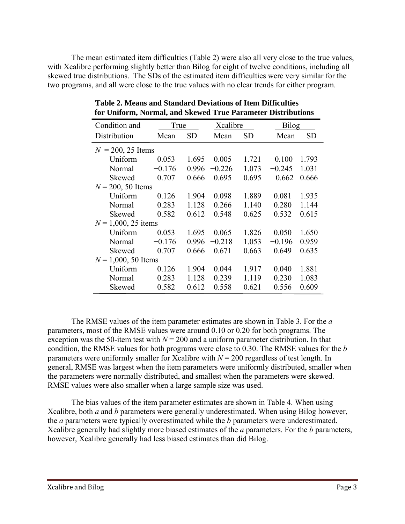The mean estimated item difficulties (Table 2) were also all very close to the true values, with Xcalibre performing slightly better than Bilog for eight of twelve conditions, including all skewed true distributions. The SDs of the estimated item difficulties were very similar for the two programs, and all were close to the true values with no clear trends for either program.

| Condition and         | True     |           | Xcalibre |           | <b>Bilog</b> |           |
|-----------------------|----------|-----------|----------|-----------|--------------|-----------|
| Distribution          | Mean     | <b>SD</b> | Mean     | <b>SD</b> | Mean         | <b>SD</b> |
| $N = 200, 25$ Items   |          |           |          |           |              |           |
| Uniform               | 0.053    | 1.695     | 0.005    | 1.721     | $-0.100$     | 1.793     |
| Normal                | $-0.176$ | 0.996     | $-0.226$ | 1.073     | $-0.245$     | 1.031     |
| Skewed                | 0.707    | 0.666     | 0.695    | 0.695     | 0.662        | 0.666     |
| $N = 200, 50$ Items   |          |           |          |           |              |           |
| Uniform               | 0.126    | 1.904     | 0.098    | 1.889     | 0.081        | 1.935     |
| Normal                | 0.283    | 1.128     | 0.266    | 1.140     | 0.280        | 1.144     |
| Skewed                | 0.582    | 0.612     | 0.548    | 0.625     | 0.532        | 0.615     |
| $N = 1,000, 25$ items |          |           |          |           |              |           |
| Uniform               | 0.053    | 1.695     | 0.065    | 1.826     | 0.050        | 1.650     |
| Normal                | $-0.176$ | 0.996     | $-0.218$ | 1.053     | $-0.196$     | 0.959     |
| Skewed                | 0.707    | 0.666     | 0.671    | 0.663     | 0.649        | 0.635     |
| $N = 1,000, 50$ Items |          |           |          |           |              |           |
| Uniform               | 0.126    | 1.904     | 0.044    | 1.917     | 0.040        | 1.881     |
| Normal                | 0.283    | 1.128     | 0.239    | 1.119     | 0.230        | 1.083     |
| Skewed                | 0.582    | 0.612     | 0.558    | 0.621     | 0.556        | 0.609     |

**Table 2. Means and Standard Deviations of Item Difficulties for Uniform, Normal, and Skewed True Parameter Distributions** 

 The RMSE values of the item parameter estimates are shown in Table 3. For the *a* parameters, most of the RMSE values were around 0.10 or 0.20 for both programs. The exception was the 50-item test with  $N = 200$  and a uniform parameter distribution. In that condition, the RMSE values for both programs were close to 0.30. The RMSE values for the *b* parameters were uniformly smaller for Xcalibre with  $N = 200$  regardless of test length. In general, RMSE was largest when the item parameters were uniformly distributed, smaller when the parameters were normally distributed, and smallest when the parameters were skewed. RMSE values were also smaller when a large sample size was used.

The bias values of the item parameter estimates are shown in Table 4. When using Xcalibre, both *a* and *b* parameters were generally underestimated. When using Bilog however, the *a* parameters were typically overestimated while the *b* parameters were underestimated. Xcalibre generally had slightly more biased estimates of the *a* parameters. For the *b* parameters, however, Xcalibre generally had less biased estimates than did Bilog.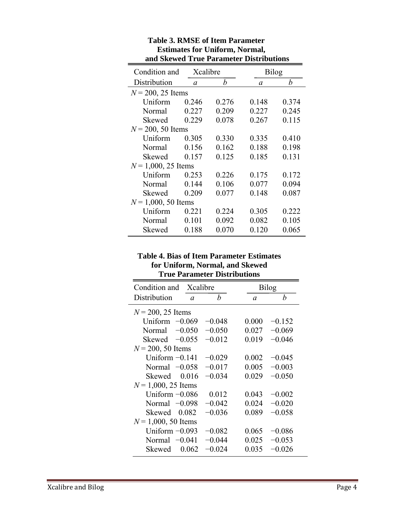| and SKC wed TTue I arameter Distributions |          |       |              |       |
|-------------------------------------------|----------|-------|--------------|-------|
| Condition and                             | Xcalibre |       | <b>Bilog</b> |       |
| Distribution                              | $\alpha$ | b     | $\alpha$     | b     |
| $N = 200, 25$ Items                       |          |       |              |       |
| Uniform                                   | 0.246    | 0.276 | 0.148        | 0.374 |
| Normal                                    | 0.227    | 0.209 | 0.227        | 0.245 |
| Skewed                                    | 0.229    | 0.078 | 0.267        | 0.115 |
| $N = 200, 50$ Items                       |          |       |              |       |
| Uniform                                   | 0.305    | 0.330 | 0.335        | 0.410 |
| Normal                                    | 0.156    | 0.162 | 0.188        | 0.198 |
| Skewed                                    | 0.157    | 0.125 | 0.185        | 0.131 |
| $N = 1,000, 25$ Items                     |          |       |              |       |
| Uniform                                   | 0.253    | 0.226 | 0.175        | 0.172 |
| Normal                                    | 0.144    | 0.106 | 0.077        | 0.094 |
| Skewed                                    | 0.209    | 0.077 | 0.148        | 0.087 |
| $N = 1,000, 50$ Items                     |          |       |              |       |
| Uniform                                   | 0.221    | 0.224 | 0.305        | 0.222 |
| Normal                                    | 0.101    | 0.092 | 0.082        | 0.105 |
| Skewed                                    | 0.188    | 0.070 | 0.120        | 0.065 |
|                                           |          |       |              |       |

#### **Table 3. RMSE of Item Parameter Estimates for Uniform, Normal, and Skewed True Parameter Distributions**

#### **Table 4. Bias of Item Parameter Estimates for Uniform, Normal, and Skewed True Parameter Distributions**

| Condition and         | Xcalibre |          |          | <b>Bilog</b> |
|-----------------------|----------|----------|----------|--------------|
| Distribution          | $\alpha$ | b        | $\alpha$ | b            |
| $N = 200, 25$ Items   |          |          |          |              |
| Uniform $-0.069$      |          | $-0.048$ | 0.000    | $-0.152$     |
| Normal                | $-0.050$ | $-0.050$ | 0.027    | $-0.069$     |
| Skewed $-0.055$       |          | $-0.012$ | 0.019    | $-0.046$     |
| $N = 200, 50$ Items   |          |          |          |              |
| Uniform $-0.141$      |          | $-0.029$ | 0.002    | $-0.045$     |
| Normal $-0.058$       |          | $-0.017$ | 0.005    | $-0.003$     |
| <b>Skewed</b>         | 0.016    | $-0.034$ | 0.029    | $-0.050$     |
| $N = 1,000, 25$ Items |          |          |          |              |
| Uniform $-0.086$      |          | 0.012    | 0.043    | $-0.002$     |
| Normal $-0.098$       |          | $-0.042$ | 0.024    | $-0.020$     |
| Skewed                | 0.082    | $-0.036$ | 0.089    | $-0.058$     |
| $N = 1,000, 50$ Items |          |          |          |              |
| Uniform $-0.093$      |          | $-0.082$ | 0.065    | $-0.086$     |
| Normal $-0.041$       |          | $-0.044$ | 0.025    | $-0.053$     |
| Skewed                | 0.062    | $-0.024$ | 0.035    | $-0.026$     |
|                       |          |          |          |              |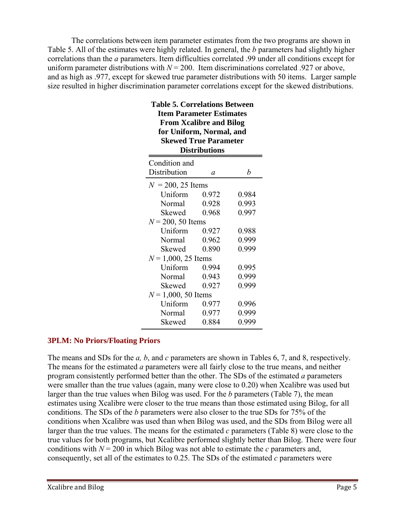The correlations between item parameter estimates from the two programs are shown in Table 5. All of the estimates were highly related. In general, the *b* parameters had slightly higher correlations than the *a* parameters. Item difficulties correlated .99 under all conditions except for uniform parameter distributions with  $N = 200$ . Item discriminations correlated .927 or above, and as high as .977, except for skewed true parameter distributions with 50 items. Larger sample size resulted in higher discrimination parameter correlations except for the skewed distributions.

**Table 5. Correlations Between** 

| Table 5. Correlations Between<br><b>Item Parameter Estimates</b><br><b>From Xcalibre and Bilog</b><br>for Uniform, Normal, and<br><b>Skewed True Parameter</b><br><b>Distributions</b> |                       |       |       |  |  |
|----------------------------------------------------------------------------------------------------------------------------------------------------------------------------------------|-----------------------|-------|-------|--|--|
|                                                                                                                                                                                        | Condition and         |       |       |  |  |
|                                                                                                                                                                                        | Distribution          | a     | b     |  |  |
|                                                                                                                                                                                        | $N = 200, 25$ Items   |       |       |  |  |
|                                                                                                                                                                                        | Uniform               | 0.972 | 0.984 |  |  |
|                                                                                                                                                                                        | Normal                | 0.928 | 0.993 |  |  |
|                                                                                                                                                                                        | Skewed                | 0.968 | 0.997 |  |  |
|                                                                                                                                                                                        | $N = 200, 50$ Items   |       |       |  |  |
|                                                                                                                                                                                        | Uniform               | 0.927 | 0.988 |  |  |
|                                                                                                                                                                                        | Normal                | 0.962 | 0.999 |  |  |
|                                                                                                                                                                                        | Skewed                | 0.890 | 0.999 |  |  |
|                                                                                                                                                                                        | $N = 1,000, 25$ Items |       |       |  |  |
|                                                                                                                                                                                        | Uniform               | 0.994 | 0.995 |  |  |
|                                                                                                                                                                                        | Normal                | 0.943 | 0.999 |  |  |
|                                                                                                                                                                                        | Skewed                | 0.927 | 0.999 |  |  |
|                                                                                                                                                                                        | $N = 1,000, 50$ Items |       |       |  |  |
|                                                                                                                                                                                        | Uniform               | 0.977 | 0.996 |  |  |
|                                                                                                                                                                                        | Normal                | 0.977 | 0.999 |  |  |
|                                                                                                                                                                                        | Skewed                | 0.884 | 0.999 |  |  |
|                                                                                                                                                                                        |                       |       |       |  |  |

#### **3PLM: No Priors/Floating Priors**

The means and SDs for the *a, b*, and *c* parameters are shown in Tables 6, 7, and 8, respectively. The means for the estimated *a* parameters were all fairly close to the true means, and neither program consistently performed better than the other. The SDs of the estimated *a* parameters were smaller than the true values (again, many were close to 0.20) when Xcalibre was used but larger than the true values when Bilog was used. For the *b* parameters (Table 7), the mean estimates using Xcalibre were closer to the true means than those estimated using Bilog, for all conditions. The SDs of the *b* parameters were also closer to the true SDs for 75% of the conditions when Xcalibre was used than when Bilog was used, and the SDs from Bilog were all larger than the true values. The means for the estimated *c* parameters (Table 8) were close to the true values for both programs, but Xcalibre performed slightly better than Bilog. There were four conditions with  $N = 200$  in which Bilog was not able to estimate the *c* parameters and, consequently, set all of the estimates to 0.25. The SDs of the estimated *c* parameters were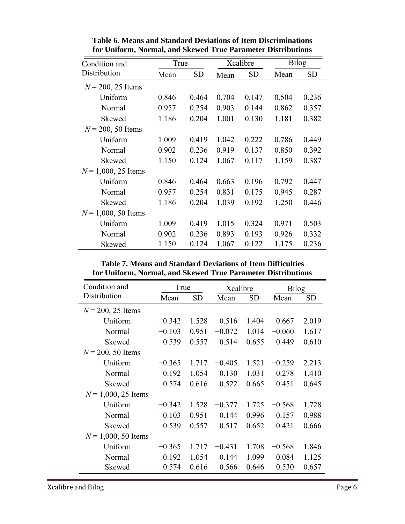| Condition and         |       | True      |       | Xcalibre  |       | <b>Bilog</b> |
|-----------------------|-------|-----------|-------|-----------|-------|--------------|
| Distribution          | Mean  | <b>SD</b> | Mean  | <b>SD</b> | Mean  | <b>SD</b>    |
| $N = 200, 25$ Items   |       |           |       |           |       |              |
| Uniform               | 0.846 | 0.464     | 0.704 | 0.147     | 0.504 | 0.236        |
| Normal                | 0.957 | 0.254     | 0.903 | 0.144     | 0.862 | 0.357        |
| Skewed                | 1.186 | 0.204     | 1.001 | 0.130     | 1.181 | 0.382        |
| $N = 200, 50$ Items   |       |           |       |           |       |              |
| Uniform               | 1.009 | 0.419     | 1.042 | 0.222     | 0.786 | 0.449        |
| Normal                | 0.902 | 0.236     | 0.919 | 0.137     | 0.850 | 0.392        |
| Skewed                | 1.150 | 0.124     | 1.067 | 0.117     | 1.159 | 0.387        |
| $N = 1,000, 25$ Items |       |           |       |           |       |              |
| Uniform               | 0.846 | 0.464     | 0.663 | 0.196     | 0.792 | 0.447        |
| Normal                | 0.957 | 0.254     | 0.831 | 0.175     | 0.945 | 0.287        |
| Skewed                | 1.186 | 0.204     | 1.039 | 0.192     | 1.250 | 0.446        |
| $N = 1,000, 50$ Items |       |           |       |           |       |              |
| Uniform               | 1.009 | 0.419     | 1.015 | 0.324     | 0.971 | 0.503        |
| Normal                | 0.902 | 0.236     | 0.893 | 0.193     | 0.926 | 0.332        |
| Skewed                | 1.150 | 0.124     | 1.067 | 0.122     | 1.175 | 0.236        |

**Table 6. Means and Standard Deviations of Item Discriminations for Uniform, Normal, and Skewed True Parameter Distributions** 

**Table 7. Means and Standard Deviations of Item Difficulties for Uniform, Normal, and Skewed True Parameter Distributions** 

| Condition and         | True     |           | Xcalibre |       | <b>Bilog</b> |       |
|-----------------------|----------|-----------|----------|-------|--------------|-------|
| Distribution          | Mean     | <b>SD</b> | Mean     | SD    | Mean         | SD    |
| $N = 200, 25$ Items   |          |           |          |       |              |       |
| Uniform               | $-0.342$ | 1.528     | $-0.516$ | 1.404 | $-0.667$     | 2.019 |
| Normal                | $-0.103$ | 0.951     | $-0.072$ | 1.014 | $-0.060$     | 1.617 |
| Skewed                | 0.539    | 0.557     | 0.514    | 0.655 | 0.449        | 0.610 |
| $N = 200, 50$ Items   |          |           |          |       |              |       |
| Uniform               | $-0.365$ | 1.717     | $-0.405$ | 1.521 | $-0.259$     | 2.213 |
| Normal                | 0.192    | 1.054     | 0.130    | 1.031 | 0.278        | 1.410 |
| Skewed                | 0.574    | 0.616     | 0.522    | 0.665 | 0.451        | 0.645 |
| $N = 1,000, 25$ Items |          |           |          |       |              |       |
| Uniform               | $-0.342$ | 1.528     | $-0.377$ | 1.725 | $-0.568$     | 1.728 |
| Normal                | $-0.103$ | 0.951     | $-0.144$ | 0.996 | $-0.157$     | 0.988 |
| Skewed                | 0.539    | 0.557     | 0.517    | 0.652 | 0.421        | 0.666 |
| $N = 1,000, 50$ Items |          |           |          |       |              |       |
| Uniform               | $-0.365$ | 1.717     | $-0.431$ | 1.708 | $-0.568$     | 1.846 |
| Normal                | 0.192    | 1.054     | 0.144    | 1.099 | 0.084        | 1.125 |
| Skewed                | 0.574    | 0.616     | 0.566    | 0.646 | 0.530        | 0.657 |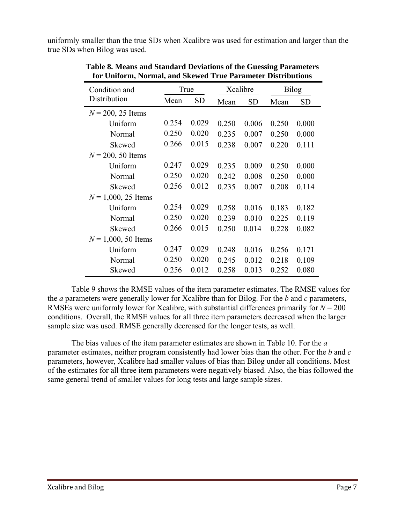uniformly smaller than the true SDs when Xcalibre was used for estimation and larger than the true SDs when Bilog was used.

|       |           |       |           | <b>Bilog</b> |           |
|-------|-----------|-------|-----------|--------------|-----------|
| Mean  | <b>SD</b> | Mean  | <b>SD</b> | Mean         | <b>SD</b> |
|       |           |       |           |              |           |
| 0.254 | 0.029     | 0.250 | 0.006     | 0.250        | 0.000     |
| 0.250 | 0.020     | 0.235 | 0.007     | 0.250        | 0.000     |
| 0.266 | 0.015     | 0.238 | 0.007     | 0.220        | 0.111     |
|       |           |       |           |              |           |
| 0.247 | 0.029     | 0.235 | 0.009     | 0.250        | 0.000     |
| 0.250 | 0.020     | 0.242 | 0.008     | 0.250        | 0.000     |
| 0.256 | 0.012     | 0.235 | 0.007     | 0.208        | 0.114     |
|       |           |       |           |              |           |
| 0.254 | 0.029     | 0.258 | 0.016     | 0.183        | 0.182     |
| 0.250 | 0.020     | 0.239 | 0.010     | 0.225        | 0.119     |
| 0.266 | 0.015     | 0.250 | 0.014     | 0.228        | 0.082     |
|       |           |       |           |              |           |
| 0.247 | 0.029     | 0.248 | 0.016     | 0.256        | 0.171     |
| 0.250 | 0.020     | 0.245 | 0.012     | 0.218        | 0.109     |
| 0.256 | 0.012     | 0.258 | 0.013     | 0.252        | 0.080     |
|       |           | True  |           | Xcalibre     |           |

**Table 8. Means and Standard Deviations of the Guessing Parameters for Uniform, Normal, and Skewed True Parameter Distributions** 

 Table 9 shows the RMSE values of the item parameter estimates. The RMSE values for the *a* parameters were generally lower for Xcalibre than for Bilog. For the *b* and *c* parameters, RMSEs were uniformly lower for Xcalibre, with substantial differences primarily for  $N = 200$ conditions. Overall, the RMSE values for all three item parameters decreased when the larger sample size was used. RMSE generally decreased for the longer tests, as well.

 The bias values of the item parameter estimates are shown in Table 10. For the *a* parameter estimates, neither program consistently had lower bias than the other. For the *b* and *c*  parameters, however, Xcalibre had smaller values of bias than Bilog under all conditions. Most of the estimates for all three item parameters were negatively biased. Also, the bias followed the same general trend of smaller values for long tests and large sample sizes.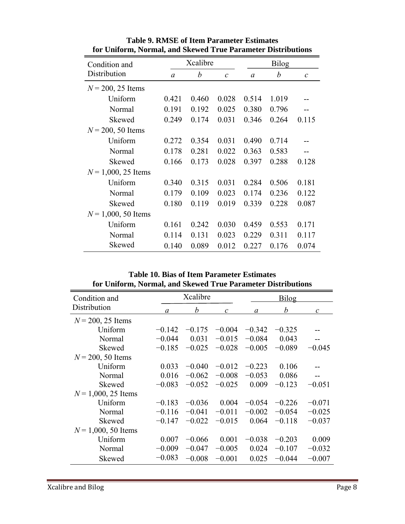| Condition and         |          | Xcalibre |                   |       | <b>Bilog</b> |               |
|-----------------------|----------|----------|-------------------|-------|--------------|---------------|
| Distribution          | $\alpha$ | b        | $\mathcal{C}_{0}$ | a     | b            | $\mathcal{C}$ |
| $N = 200, 25$ Items   |          |          |                   |       |              |               |
| Uniform               | 0.421    | 0.460    | 0.028             | 0.514 | 1.019        |               |
| Normal                | 0.191    | 0.192    | 0.025             | 0.380 | 0.796        |               |
| Skewed                | 0.249    | 0.174    | 0.031             | 0.346 | 0.264        | 0.115         |
| $N = 200, 50$ Items   |          |          |                   |       |              |               |
| Uniform               | 0.272    | 0.354    | 0.031             | 0.490 | 0.714        |               |
| Normal                | 0.178    | 0.281    | 0.022             | 0.363 | 0.583        |               |
| Skewed                | 0.166    | 0.173    | 0.028             | 0.397 | 0.288        | 0.128         |
| $N = 1,000, 25$ Items |          |          |                   |       |              |               |
| Uniform               | 0.340    | 0.315    | 0.031             | 0.284 | 0.506        | 0.181         |
| Normal                | 0.179    | 0.109    | 0.023             | 0.174 | 0.236        | 0.122         |
| Skewed                | 0.180    | 0.119    | 0.019             | 0.339 | 0.228        | 0.087         |
| $N = 1,000, 50$ Items |          |          |                   |       |              |               |
| Uniform               | 0.161    | 0.242    | 0.030             | 0.459 | 0.553        | 0.171         |
| Normal                | 0.114    | 0.131    | 0.023             | 0.229 | 0.311        | 0.117         |
| Skewed                | 0.140    | 0.089    | 0.012             | 0.227 | 0.176        | 0.074         |

**Table 9. RMSE of Item Parameter Estimates for Uniform, Normal, and Skewed True Parameter Distributions** 

**Table 10. Bias of Item Parameter Estimates for Uniform, Normal, and Skewed True Parameter Distributions** 

| Condition and         |          | Xcalibre |               |          | <b>Bilog</b> |               |  |
|-----------------------|----------|----------|---------------|----------|--------------|---------------|--|
| Distribution          | a        | b        | $\mathcal{C}$ | $\alpha$ | b            | $\mathcal{C}$ |  |
| $N = 200, 25$ Items   |          |          |               |          |              |               |  |
| Uniform               | $-0.142$ | $-0.175$ | $-0.004$      | $-0.342$ | $-0.325$     |               |  |
| Normal                | $-0.044$ | 0.031    | $-0.015$      | $-0.084$ | 0.043        | --            |  |
| Skewed                | $-0.185$ | $-0.025$ | $-0.028$      | $-0.005$ | $-0.089$     | $-0.045$      |  |
| $N = 200, 50$ Items   |          |          |               |          |              |               |  |
| Uniform               | 0.033    | $-0.040$ | $-0.012$      | $-0.223$ | 0.106        |               |  |
| Normal                | 0.016    | $-0.062$ | $-0.008$      | $-0.053$ | 0.086        | --            |  |
| Skewed                | $-0.083$ | $-0.052$ | $-0.025$      | 0.009    | $-0.123$     | $-0.051$      |  |
| $N = 1,000, 25$ Items |          |          |               |          |              |               |  |
| Uniform               | $-0.183$ | $-0.036$ | 0.004         | $-0.054$ | $-0.226$     | $-0.071$      |  |
| Normal                | $-0.116$ | $-0.041$ | $-0.011$      | $-0.002$ | $-0.054$     | $-0.025$      |  |
| Skewed                | $-0.147$ | $-0.022$ | $-0.015$      | 0.064    | $-0.118$     | $-0.037$      |  |
| $N = 1,000, 50$ Items |          |          |               |          |              |               |  |
| Uniform               | 0.007    | $-0.066$ | 0.001         | $-0.038$ | $-0.203$     | 0.009         |  |
| Normal                | $-0.009$ | $-0.047$ | $-0.005$      | 0.024    | $-0.107$     | $-0.032$      |  |
| Skewed                | $-0.083$ | $-0.008$ | $-0.001$      | 0.025    | $-0.044$     | $-0.007$      |  |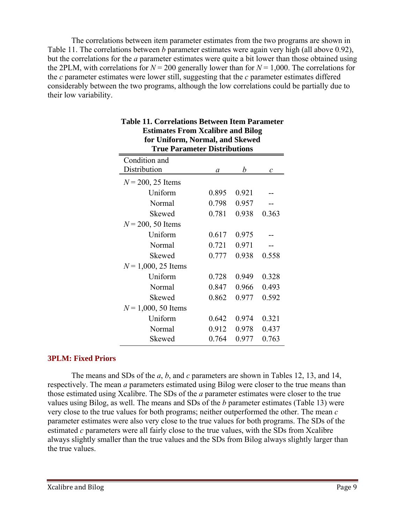The correlations between item parameter estimates from the two programs are shown in Table 11. The correlations between *b* parameter estimates were again very high (all above 0.92), but the correlations for the *a* parameter estimates were quite a bit lower than those obtained using the 2PLM, with correlations for  $N = 200$  generally lower than for  $N = 1,000$ . The correlations for the *c* parameter estimates were lower still, suggesting that the *c* parameter estimates differed considerably between the two programs, although the low correlations could be partially due to their low variability.

| $\frac{1}{2}$<br><b>True Parameter Distributions</b> |       |       |                   |  |  |  |  |  |  |
|------------------------------------------------------|-------|-------|-------------------|--|--|--|--|--|--|
| Condition and                                        |       |       |                   |  |  |  |  |  |  |
| Distribution                                         | a     | b     | $\mathcal{C}_{0}$ |  |  |  |  |  |  |
| $N = 200, 25$ Items                                  |       |       |                   |  |  |  |  |  |  |
| Uniform                                              | 0.895 | 0.921 |                   |  |  |  |  |  |  |
| Normal                                               | 0.798 | 0.957 |                   |  |  |  |  |  |  |
| Skewed                                               | 0.781 | 0.938 | 0.363             |  |  |  |  |  |  |
| $N = 200, 50$ Items                                  |       |       |                   |  |  |  |  |  |  |
| Uniform                                              | 0.617 | 0.975 |                   |  |  |  |  |  |  |
| Normal                                               | 0.721 | 0.971 |                   |  |  |  |  |  |  |
| Skewed                                               | 0.777 | 0.938 | 0.558             |  |  |  |  |  |  |
| $N = 1,000, 25$ Items                                |       |       |                   |  |  |  |  |  |  |
| Uniform                                              | 0.728 | 0.949 | 0.328             |  |  |  |  |  |  |
| Normal                                               | 0.847 | 0.966 | 0.493             |  |  |  |  |  |  |
| Skewed                                               | 0.862 | 0.977 | 0.592             |  |  |  |  |  |  |
| $N = 1,000, 50$ Items                                |       |       |                   |  |  |  |  |  |  |
| Uniform                                              | 0.642 | 0.974 | 0.321             |  |  |  |  |  |  |
| Normal                                               | 0.912 | 0.978 | 0.437             |  |  |  |  |  |  |
| Skewed                                               | 0.764 | 0.977 | 0.763             |  |  |  |  |  |  |

#### **Table 11. Correlations Between Item Parameter Estimates From Xcalibre and Bilog for Uniform, Normal, and Skewed**

#### **3PLM: Fixed Priors**

 The means and SDs of the *a*, *b*, and *c* parameters are shown in Tables 12, 13, and 14, respectively. The mean *a* parameters estimated using Bilog were closer to the true means than those estimated using Xcalibre. The SDs of the *a* parameter estimates were closer to the true values using Bilog, as well. The means and SDs of the *b* parameter estimates (Table 13) were very close to the true values for both programs; neither outperformed the other. The mean *c* parameter estimates were also very close to the true values for both programs. The SDs of the estimated *c* parameters were all fairly close to the true values, with the SDs from Xcalibre always slightly smaller than the true values and the SDs from Bilog always slightly larger than the true values.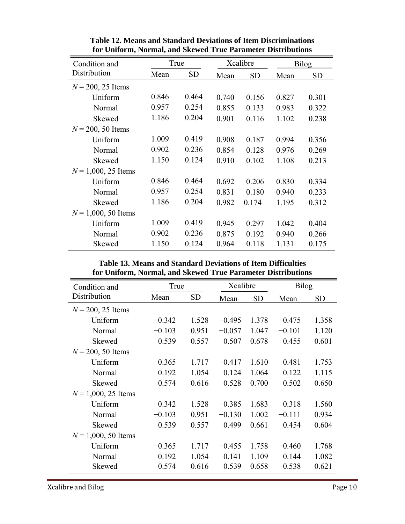| Condition and         | True  |           |       | Xcalibre  |       | Bilog     |  |
|-----------------------|-------|-----------|-------|-----------|-------|-----------|--|
| Distribution          | Mean  | <b>SD</b> | Mean  | <b>SD</b> | Mean  | <b>SD</b> |  |
| $N = 200, 25$ Items   |       |           |       |           |       |           |  |
| Uniform               | 0.846 | 0.464     | 0.740 | 0.156     | 0.827 | 0.301     |  |
| Normal                | 0.957 | 0.254     | 0.855 | 0.133     | 0.983 | 0.322     |  |
| Skewed                | 1.186 | 0.204     | 0.901 | 0.116     | 1.102 | 0.238     |  |
| $N = 200, 50$ Items   |       |           |       |           |       |           |  |
| Uniform               | 1.009 | 0.419     | 0.908 | 0.187     | 0.994 | 0.356     |  |
| Normal                | 0.902 | 0.236     | 0.854 | 0.128     | 0.976 | 0.269     |  |
| Skewed                | 1.150 | 0.124     | 0.910 | 0.102     | 1.108 | 0.213     |  |
| $N = 1,000, 25$ Items |       |           |       |           |       |           |  |
| Uniform               | 0.846 | 0.464     | 0.692 | 0.206     | 0.830 | 0.334     |  |
| Normal                | 0.957 | 0.254     | 0.831 | 0.180     | 0.940 | 0.233     |  |
| Skewed                | 1.186 | 0.204     | 0.982 | 0.174     | 1.195 | 0.312     |  |
| $N = 1,000, 50$ Items |       |           |       |           |       |           |  |
| Uniform               | 1.009 | 0.419     | 0.945 | 0.297     | 1.042 | 0.404     |  |
| Normal                | 0.902 | 0.236     | 0.875 | 0.192     | 0.940 | 0.266     |  |
| Skewed                | 1.150 | 0.124     | 0.964 | 0.118     | 1.131 | 0.175     |  |

**Table 12. Means and Standard Deviations of Item Discriminations for Uniform, Normal, and Skewed True Parameter Distributions** 

**Table 13. Means and Standard Deviations of Item Difficulties for Uniform, Normal, and Skewed True Parameter Distributions** 

| Condition and         | True     |           | Xcalibre |           | <b>Bilog</b> |           |
|-----------------------|----------|-----------|----------|-----------|--------------|-----------|
| Distribution          | Mean     | <b>SD</b> | Mean     | <b>SD</b> | Mean         | <b>SD</b> |
| $N = 200, 25$ Items   |          |           |          |           |              |           |
| Uniform               | $-0.342$ | 1.528     | $-0.495$ | 1.378     | $-0.475$     | 1.358     |
| Normal                | $-0.103$ | 0.951     | $-0.057$ | 1.047     | $-0.101$     | 1.120     |
| Skewed                | 0.539    | 0.557     | 0.507    | 0.678     | 0.455        | 0.601     |
| $N = 200, 50$ Items   |          |           |          |           |              |           |
| Uniform               | $-0.365$ | 1.717     | $-0.417$ | 1.610     | $-0.481$     | 1.753     |
| Normal                | 0.192    | 1.054     | 0.124    | 1.064     | 0.122        | 1.115     |
| Skewed                | 0.574    | 0.616     | 0.528    | 0.700     | 0.502        | 0.650     |
| $N = 1,000, 25$ Items |          |           |          |           |              |           |
| Uniform               | $-0.342$ | 1.528     | $-0.385$ | 1.683     | $-0.318$     | 1.560     |
| Normal                | $-0.103$ | 0.951     | $-0.130$ | 1.002     | $-0.111$     | 0.934     |
| Skewed                | 0.539    | 0.557     | 0.499    | 0.661     | 0.454        | 0.604     |
| $N = 1,000, 50$ Items |          |           |          |           |              |           |
| Uniform               | $-0.365$ | 1.717     | $-0.455$ | 1.758     | $-0.460$     | 1.768     |
| Normal                | 0.192    | 1.054     | 0.141    | 1.109     | 0.144        | 1.082     |
| Skewed                | 0.574    | 0.616     | 0.539    | 0.658     | 0.538        | 0.621     |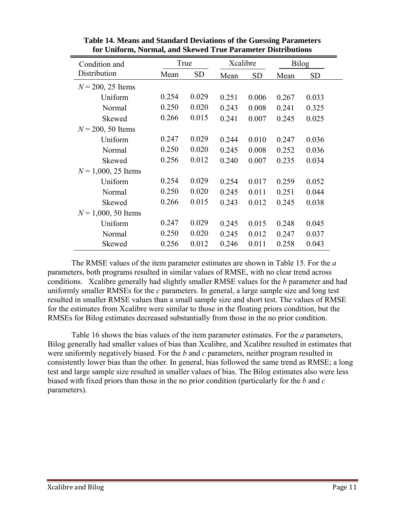| Condition and         |       | True      |       | Xcalibre  |             | <b>Bilog</b> |
|-----------------------|-------|-----------|-------|-----------|-------------|--------------|
| Distribution          | Mean  | <b>SD</b> | Mean  | <b>SD</b> | <b>Mean</b> | <b>SD</b>    |
| $N = 200, 25$ Items   |       |           |       |           |             |              |
| Uniform               | 0.254 | 0.029     | 0.251 | 0.006     | 0.267       | 0.033        |
| Normal                | 0.250 | 0.020     | 0.243 | 0.008     | 0.241       | 0.325        |
| Skewed                | 0.266 | 0.015     | 0.241 | 0.007     | 0.245       | 0.025        |
| $N = 200, 50$ Items   |       |           |       |           |             |              |
| Uniform               | 0.247 | 0.029     | 0.244 | 0.010     | 0.247       | 0.036        |
| Normal                | 0.250 | 0.020     | 0.245 | 0.008     | 0.252       | 0.036        |
| Skewed                | 0.256 | 0.012     | 0.240 | 0.007     | 0.235       | 0.034        |
| $N = 1,000, 25$ Items |       |           |       |           |             |              |
| Uniform               | 0.254 | 0.029     | 0.254 | 0.017     | 0.259       | 0.052        |
| Normal                | 0.250 | 0.020     | 0.245 | 0.011     | 0.251       | 0.044        |
| Skewed                | 0.266 | 0.015     | 0.243 | 0.012     | 0.245       | 0.038        |
| $N = 1,000, 50$ Items |       |           |       |           |             |              |
| Uniform               | 0.247 | 0.029     | 0.245 | 0.015     | 0.248       | 0.045        |
| Normal                | 0.250 | 0.020     | 0.245 | 0.012     | 0.247       | 0.037        |
| Skewed                | 0.256 | 0.012     | 0.246 | 0.011     | 0.258       | 0.043        |

**Table 14. Means and Standard Deviations of the Guessing Parameters for Uniform, Normal, and Skewed True Parameter Distributions** 

 The RMSE values of the item parameter estimates are shown in Table 15. For the *a*  parameters, both programs resulted in similar values of RMSE, with no clear trend across conditions. Xcalibre generally had slightly smaller RMSE values for the *b* parameter and had uniformly smaller RMSEs for the *c* parameters. In general, a large sample size and long test resulted in smaller RMSE values than a small sample size and short test. The values of RMSE for the estimates from Xcalibre were similar to those in the floating priors condition, but the RMSEs for Bilog estimates decreased substantially from those in the no prior condition.

 Table 16 shows the bias values of the item parameter estimates. For the *a* parameters, Bilog generally had smaller values of bias than Xcalibre, and Xcalibre resulted in estimates that were uniformly negatively biased. For the *b* and *c* parameters, neither program resulted in consistently lower bias than the other. In general, bias followed the same trend as RMSE; a long test and large sample size resulted in smaller values of bias. The Bilog estimates also were less biased with fixed priors than those in the no prior condition (particularly for the *b* and *c* parameters).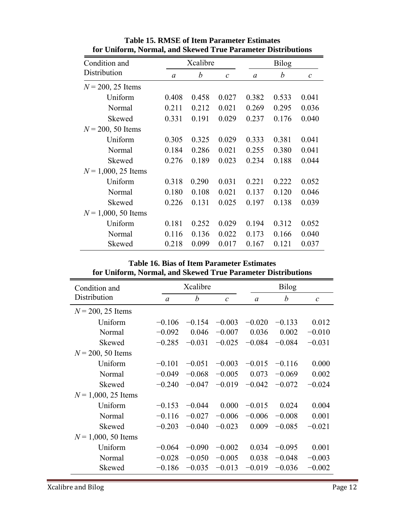| Condition and         | Xcalibre |                  |               | <b>Bilog</b> |       |               |
|-----------------------|----------|------------------|---------------|--------------|-------|---------------|
| Distribution          | $\alpha$ | $\boldsymbol{b}$ | $\mathcal{C}$ | $\alpha$     | b     | $\mathcal{C}$ |
| $N = 200, 25$ Items   |          |                  |               |              |       |               |
| Uniform               | 0.408    | 0.458            | 0.027         | 0.382        | 0.533 | 0.041         |
| Normal                | 0.211    | 0.212            | 0.021         | 0.269        | 0.295 | 0.036         |
| Skewed                | 0.331    | 0.191            | 0.029         | 0.237        | 0.176 | 0.040         |
| $N = 200, 50$ Items   |          |                  |               |              |       |               |
| Uniform               | 0.305    | 0.325            | 0.029         | 0.333        | 0.381 | 0.041         |
| Normal                | 0.184    | 0.286            | 0.021         | 0.255        | 0.380 | 0.041         |
| Skewed                | 0.276    | 0.189            | 0.023         | 0.234        | 0.188 | 0.044         |
| $N = 1,000, 25$ Items |          |                  |               |              |       |               |
| Uniform               | 0.318    | 0.290            | 0.031         | 0.221        | 0.222 | 0.052         |
| Normal                | 0.180    | 0.108            | 0.021         | 0.137        | 0.120 | 0.046         |
| Skewed                | 0.226    | 0.131            | 0.025         | 0.197        | 0.138 | 0.039         |
| $N = 1,000, 50$ Items |          |                  |               |              |       |               |
| Uniform               | 0.181    | 0.252            | 0.029         | 0.194        | 0.312 | 0.052         |
| Normal                | 0.116    | 0.136            | 0.022         | 0.173        | 0.166 | 0.040         |
| Skewed                | 0.218    | 0.099            | 0.017         | 0.167        | 0.121 | 0.037         |

**Table 15. RMSE of Item Parameter Estimates for Uniform, Normal, and Skewed True Parameter Distributions** 

**Table 16. Bias of Item Parameter Estimates for Uniform, Normal, and Skewed True Parameter Distributions** 

| Condition and         |          | Xcalibre |               |          | <b>Bilog</b> |               |  |
|-----------------------|----------|----------|---------------|----------|--------------|---------------|--|
| Distribution          | $\alpha$ | b        | $\mathcal{C}$ | $\alpha$ | b            | $\mathcal{C}$ |  |
| $N = 200, 25$ Items   |          |          |               |          |              |               |  |
| Uniform               | $-0.106$ | $-0.154$ | $-0.003$      | $-0.020$ | $-0.133$     | 0.012         |  |
| Normal                | $-0.092$ | 0.046    | $-0.007$      | 0.036    | 0.002        | $-0.010$      |  |
| Skewed                | $-0.285$ | $-0.031$ | $-0.025$      | $-0.084$ | $-0.084$     | $-0.031$      |  |
| $N = 200, 50$ Items   |          |          |               |          |              |               |  |
| Uniform               | $-0.101$ | $-0.051$ | $-0.003$      | $-0.015$ | $-0.116$     | 0.000         |  |
| Normal                | $-0.049$ | $-0.068$ | $-0.005$      | 0.073    | $-0.069$     | 0.002         |  |
| Skewed                | $-0.240$ | $-0.047$ | $-0.019$      | $-0.042$ | $-0.072$     | $-0.024$      |  |
| $N = 1,000, 25$ Items |          |          |               |          |              |               |  |
| Uniform               | $-0.153$ | $-0.044$ | 0.000         | $-0.015$ | 0.024        | 0.004         |  |
| Normal                | $-0.116$ | $-0.027$ | $-0.006$      | $-0.006$ | $-0.008$     | 0.001         |  |
| Skewed                | $-0.203$ | $-0.040$ | $-0.023$      | 0.009    | $-0.085$     | $-0.021$      |  |
| $N = 1,000, 50$ Items |          |          |               |          |              |               |  |
| Uniform               | $-0.064$ | $-0.090$ | $-0.002$      | 0.034    | $-0.095$     | 0.001         |  |
| Normal                | $-0.028$ | $-0.050$ | $-0.005$      | 0.038    | $-0.048$     | $-0.003$      |  |
| Skewed                | $-0.186$ | $-0.035$ | $-0.013$      | $-0.019$ | $-0.036$     | $-0.002$      |  |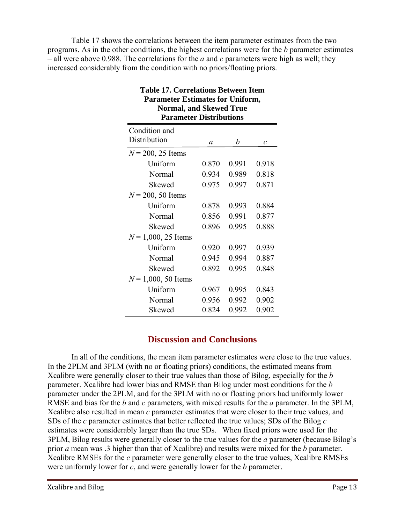Table 17 shows the correlations between the item parameter estimates from the two programs. As in the other conditions, the highest correlations were for the *b* parameter estimates – all were above 0.988. The correlations for the *a* and *c* parameters were high as well; they increased considerably from the condition with no priors/floating priors.

| Normal, and Skewed True<br><b>Parameter Distributions</b> |       |       |                   |  |  |  |
|-----------------------------------------------------------|-------|-------|-------------------|--|--|--|
| Condition and                                             |       |       |                   |  |  |  |
| Distribution                                              | a     | b     | $\mathcal{C}_{0}$ |  |  |  |
| $N = 200, 25$ Items                                       |       |       |                   |  |  |  |
| Uniform                                                   | 0.870 | 0.991 | 0.918             |  |  |  |
| Normal                                                    | 0.934 | 0.989 | 0.818             |  |  |  |
| Skewed                                                    | 0.975 | 0.997 | 0.871             |  |  |  |
| $N = 200, 50$ Items                                       |       |       |                   |  |  |  |
| Uniform                                                   | 0.878 | 0.993 | 0.884             |  |  |  |
| Normal                                                    | 0.856 | 0.991 | 0.877             |  |  |  |
| Skewed                                                    | 0.896 | 0.995 | 0.888             |  |  |  |
| $N = 1,000, 25$ Items                                     |       |       |                   |  |  |  |
| Uniform                                                   | 0.920 | 0.997 | 0.939             |  |  |  |
| Normal                                                    | 0.945 | 0.994 | 0.887             |  |  |  |
| Skewed                                                    | 0.892 | 0.995 | 0.848             |  |  |  |
| $N = 1,000, 50$ Items                                     |       |       |                   |  |  |  |
| Uniform                                                   | 0.967 | 0.995 | 0.843             |  |  |  |
| Normal                                                    | 0.956 | 0.992 | 0.902             |  |  |  |
| Skewed                                                    | 0.824 | 0.992 | 0.902             |  |  |  |

## **Table 17. Correlations Between Item Parameter Estimates for Uniform, Normal, and Skewed True**

### **Discussion and Conclusions**

In all of the conditions, the mean item parameter estimates were close to the true values. In the 2PLM and 3PLM (with no or floating priors) conditions, the estimated means from Xcalibre were generally closer to their true values than those of Bilog, especially for the *b* parameter. Xcalibre had lower bias and RMSE than Bilog under most conditions for the *b*  parameter under the 2PLM, and for the 3PLM with no or floating priors had uniformly lower RMSE and bias for the *b* and *c* parameters, with mixed results for the *a* parameter. In the 3PLM, Xcalibre also resulted in mean *c* parameter estimates that were closer to their true values, and SDs of the *c* parameter estimates that better reflected the true values; SDs of the Bilog *c*  estimates were considerably larger than the true SDs. When fixed priors were used for the 3PLM, Bilog results were generally closer to the true values for the *a* parameter (because Bilog's prior *a* mean was .3 higher than that of Xcalibre) and results were mixed for the *b* parameter. Xcalibre RMSEs for the *c* parameter were generally closer to the true values, Xcalibre RMSEs were uniformly lower for *c*, and were generally lower for the *b* parameter.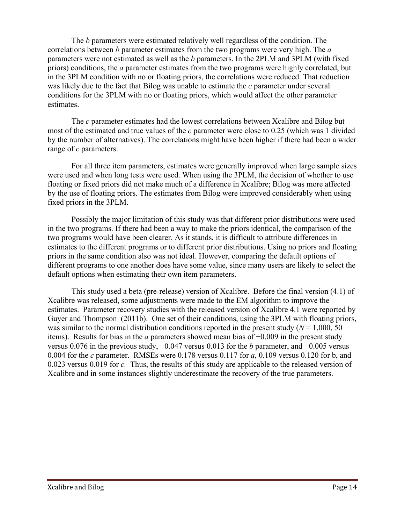The *b* parameters were estimated relatively well regardless of the condition. The correlations between *b* parameter estimates from the two programs were very high. The *a* parameters were not estimated as well as the *b* parameters. In the 2PLM and 3PLM (with fixed priors) conditions, the *a* parameter estimates from the two programs were highly correlated, but in the 3PLM condition with no or floating priors, the correlations were reduced. That reduction was likely due to the fact that Bilog was unable to estimate the *c* parameter under several conditions for the 3PLM with no or floating priors, which would affect the other parameter estimates.

 The *c* parameter estimates had the lowest correlations between Xcalibre and Bilog but most of the estimated and true values of the *c* parameter were close to 0.25 (which was 1 divided by the number of alternatives). The correlations might have been higher if there had been a wider range of *c* parameters.

 For all three item parameters, estimates were generally improved when large sample sizes were used and when long tests were used. When using the 3PLM, the decision of whether to use floating or fixed priors did not make much of a difference in Xcalibre; Bilog was more affected by the use of floating priors. The estimates from Bilog were improved considerably when using fixed priors in the 3PLM.

 Possibly the major limitation of this study was that different prior distributions were used in the two programs. If there had been a way to make the priors identical, the comparison of the two programs would have been clearer. As it stands, it is difficult to attribute differences in estimates to the different programs or to different prior distributions. Using no priors and floating priors in the same condition also was not ideal. However, comparing the default options of different programs to one another does have some value, since many users are likely to select the default options when estimating their own item parameters.

This study used a beta (pre-release) version of Xcalibre. Before the final version (4.1) of Xcalibre was released, some adjustments were made to the EM algorithm to improve the estimates. Parameter recovery studies with the released version of Xcalibre 4.1 were reported by Guyer and Thompson (2011b). One set of their conditions, using the 3PLM with floating priors, was similar to the normal distribution conditions reported in the present study  $(N = 1,000, 50)$ items). Results for bias in the *a* parameters showed mean bias of −0.009 in the present study versus 0.076 in the previous study, −0.047 versus 0.013 for the *b* parameter, and −0.005 versus 0.004 for the *c* parameter. RMSEs were 0.178 versus 0.117 for *a*, 0.109 versus 0.120 for b, and 0.023 versus 0.019 for *c.* Thus, the results of this study are applicable to the released version of Xcalibre and in some instances slightly underestimate the recovery of the true parameters.